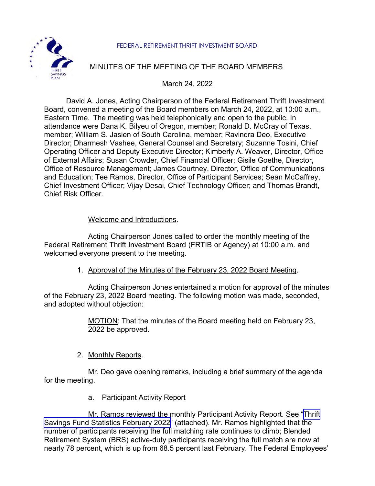

### FEDERAL RETIREMENT THRIFT INVESTMENT BOARD

# MINUTES OF THE MEETING OF THE BOARD MEMBERS

March 24, 2022

David A. Jones, Acting Chairperson of the Federal Retirement Thrift Investment Board, convened a meeting of the Board members on March 24, 2022, at 10:00 a.m., Eastern Time. The meeting was held telephonically and open to the public. In attendance were Dana K. Bilyeu of Oregon, member; Ronald D. McCray of Texas, member; William S. Jasien of South Carolina, member; Ravindra Deo, Executive Director; Dharmesh Vashee, General Counsel and Secretary; Suzanne Tosini, Chief Operating Officer and Deputy Executive Director; Kimberly A. Weaver, Director, Office of External Affairs; Susan Crowder, Chief Financial Officer; Gisile Goethe, Director, Office of Resource Management; James Courtney, Director, Office of Communications and Education; Tee Ramos, Director, Office of Participant Services; Sean McCaffrey, Chief Investment Officer; Vijay Desai, Chief Technology Officer; and Thomas Brandt, Chief Risk Officer.

# Welcome and Introductions.

Acting Chairperson Jones called to order the monthly meeting of the Federal Retirement Thrift Investment Board (FRTIB or Agency) at 10:00 a.m. and welcomed everyone present to the meeting.

1. Approval of the Minutes of the February 23, 2022 Board Meeting.

Acting Chairperson Jones entertained a motion for approval of the minutes of the February 23, 2022 Board meeting. The following motion was made, seconded, and adopted without objection:

> MOTION: That the minutes of the Board meeting held on February 23, 2022 be approved.

# 2. Monthly Reports.

Mr. Deo gave opening remarks, including a brief summary of the agenda for the meeting.

a. Participant Activity Report

Mr. Ramos reviewed the monthly Participant Activity Report. See "Thrift" [Savings Fund Statistics February 2022](https://www.frtib.gov/pdf/minutes/2022/Mar/MM-2022Mar-Att1.pdf)" (attached). Mr. Ramos highlighted that the number of participants receiving the full matching rate continues to climb; Blended Retirement System (BRS) active-duty participants receiving the full match are now at nearly 78 percent, which is up from 68.5 percent last February. The Federal Employees'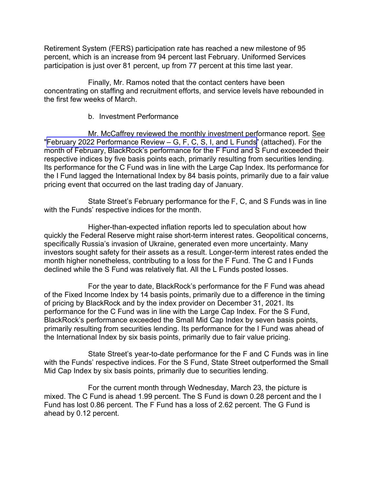Retirement System (FERS) participation rate has reached a new milestone of 95 percent, which is an increase from 94 percent last February. Uniformed Services participation is just over 81 percent, up from 77 percent at this time last year.

Finally, Mr. Ramos noted that the contact centers have been concentrating on staffing and recruitment efforts, and service levels have rebounded in the first few weeks of March.

#### b. Investment Performance

Mr. McCaffrey reviewed the monthly investment performance report. See ["February 2022 Performance Review –](https://www.frtib.gov/pdf/minutes/2022/Mar/MM-2022Mar-Att2.pdf) G, F, C, S, I, and L Funds" (attached). For the month of February, BlackRock's performance for the F Fund and S Fund exceeded their respective indices by five basis points each, primarily resulting from securities lending. Its performance for the C Fund was in line with the Large Cap Index. Its performance for the I Fund lagged the International Index by 84 basis points, primarily due to a fair value pricing event that occurred on the last trading day of January.

State Street's February performance for the F, C, and S Funds was in line with the Funds' respective indices for the month.

Higher-than-expected inflation reports led to speculation about how quickly the Federal Reserve might raise short-term interest rates. Geopolitical concerns, specifically Russia's invasion of Ukraine, generated even more uncertainty. Many investors sought safety for their assets as a result. Longer-term interest rates ended the month higher nonetheless, contributing to a loss for the F Fund. The C and I Funds declined while the S Fund was relatively flat. All the L Funds posted losses.

For the year to date, BlackRock's performance for the F Fund was ahead of the Fixed Income Index by 14 basis points, primarily due to a difference in the timing of pricing by BlackRock and by the index provider on December 31, 2021. Its performance for the C Fund was in line with the Large Cap Index. For the S Fund, BlackRock's performance exceeded the Small Mid Cap Index by seven basis points, primarily resulting from securities lending. Its performance for the I Fund was ahead of the International Index by six basis points, primarily due to fair value pricing.

State Street's year-to-date performance for the F and C Funds was in line with the Funds' respective indices. For the S Fund, State Street outperformed the Small Mid Cap Index by six basis points, primarily due to securities lending.

For the current month through Wednesday, March 23, the picture is mixed. The C Fund is ahead 1.99 percent. The S Fund is down 0.28 percent and the I Fund has lost 0.86 percent. The F Fund has a loss of 2.62 percent. The G Fund is ahead by 0.12 percent.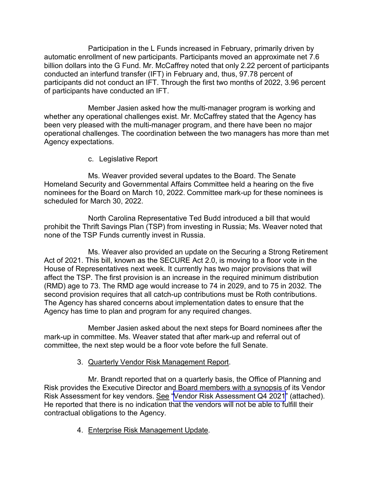Participation in the L Funds increased in February, primarily driven by automatic enrollment of new participants. Participants moved an approximate net 7.6 billion dollars into the G Fund. Mr. McCaffrey noted that only 2.22 percent of participants conducted an interfund transfer (IFT) in February and, thus, 97.78 percent of participants did not conduct an IFT. Through the first two months of 2022, 3.96 percent of participants have conducted an IFT.

Member Jasien asked how the multi-manager program is working and whether any operational challenges exist. Mr. McCaffrey stated that the Agency has been very pleased with the multi-manager program, and there have been no major operational challenges. The coordination between the two managers has more than met Agency expectations.

c. Legislative Report

Ms. Weaver provided several updates to the Board. The Senate Homeland Security and Governmental Affairs Committee held a hearing on the five nominees for the Board on March 10, 2022. Committee mark-up for these nominees is scheduled for March 30, 2022.

North Carolina Representative Ted Budd introduced a bill that would prohibit the Thrift Savings Plan (TSP) from investing in Russia; Ms. Weaver noted that none of the TSP Funds currently invest in Russia.

Ms. Weaver also provided an update on the Securing a Strong Retirement Act of 2021. This bill, known as the SECURE Act 2.0, is moving to a floor vote in the House of Representatives next week. It currently has two major provisions that will affect the TSP. The first provision is an increase in the required minimum distribution (RMD) age to 73. The RMD age would increase to 74 in 2029, and to 75 in 2032. The second provision requires that all catch-up contributions must be Roth contributions. The Agency has shared concerns about implementation dates to ensure that the Agency has time to plan and program for any required changes.

Member Jasien asked about the next steps for Board nominees after the mark-up in committee. Ms. Weaver stated that after mark-up and referral out of committee, the next step would be a floor vote before the full Senate.

# 3. Quarterly Vendor Risk Management Report.

Mr. Brandt reported that on a quarterly basis, the Office of Planning and Risk provides the Executive Director and Board members with a synopsis of its Vendor Risk Assessment for key vendors. See "Vendor [Risk Assessment Q4](https://www.frtib.gov/pdf/minutes/2022/Mar/MM-2022Mar-Att3.pdf) 2021" (attached). He reported that there is no indication that the vendors will not be able to fulfill their contractual obligations to the Agency.

4. Enterprise Risk Management Update.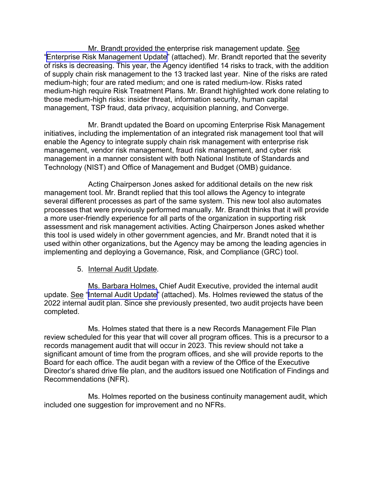Mr. Brandt provided the enterprise risk management update. See "[Enterprise Risk Management Update"](https://www.frtib.gov/pdf/minutes/2022/Mar/MM-2022Mar-Att4.pdf) (attached). Mr. Brandt reported that the severity of risks is decreasing. This year, the Agency identified 14 risks to track, with the addition of supply chain risk management to the 13 tracked last year. Nine of the risks are rated medium-high; four are rated medium; and one is rated medium-low. Risks rated medium-high require Risk Treatment Plans. Mr. Brandt highlighted work done relating to those medium-high risks: insider threat, information security, human capital management, TSP fraud, data privacy, acquisition planning, and Converge.

Mr. Brandt updated the Board on upcoming Enterprise Risk Management initiatives, including the implementation of an integrated risk management tool that will enable the Agency to integrate supply chain risk management with enterprise risk management, vendor risk management, fraud risk management, and cyber risk management in a manner consistent with both National Institute of Standards and Technology (NIST) and Office of Management and Budget (OMB) guidance.

Acting Chairperson Jones asked for additional details on the new risk management tool. Mr. Brandt replied that this tool allows the Agency to integrate several different processes as part of the same system. This new tool also automates processes that were previously performed manually. Mr. Brandt thinks that it will provide a more user-friendly experience for all parts of the organization in supporting risk assessment and risk management activities. Acting Chairperson Jones asked whether this tool is used widely in other government agencies, and Mr. Brandt noted that it is used within other organizations, but the Agency may be among the leading agencies in implementing and deploying a Governance, Risk, and Compliance (GRC) tool.

5. Internal Audit Update.

Ms. Barbara Holmes, Chief Audit Executive, provided the internal audit update. See "Internal [Audit Update"](https://www.frtib.gov/pdf/minutes/2022/Mar/MM-2022Mar-Att5.pdf) (attached). Ms. Holmes reviewed the status of the 2022 internal audit plan. Since she previously presented, two audit projects have been completed.

Ms. Holmes stated that there is a new Records Management File Plan review scheduled for this year that will cover all program offices. This is a precursor to a records management audit that will occur in 2023. This review should not take a significant amount of time from the program offices, and she will provide reports to the Board for each office. The audit began with a review of the Office of the Executive Director's shared drive file plan, and the auditors issued one Notification of Findings and Recommendations (NFR).

Ms. Holmes reported on the business continuity management audit, which included one suggestion for improvement and no NFRs.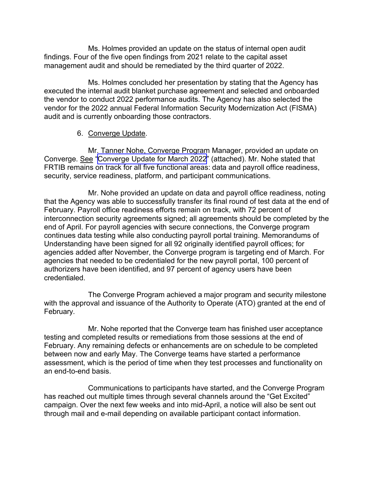Ms. Holmes provided an update on the status of internal open audit findings. Four of the five open findings from 2021 relate to the capital asset management audit and should be remediated by the third quarter of 2022.

Ms. Holmes concluded her presentation by stating that the Agency has executed the internal audit blanket purchase agreement and selected and onboarded the vendor to conduct 2022 performance audits. The Agency has also selected the vendor for the 2022 annual Federal Information Security Modernization Act (FISMA) audit and is currently onboarding those contractors.

#### 6. Converge Update.

Mr. Tanner Nohe, Converge Program Manager, provided an update on Converge. See ["Converge Update for March 2022"](https://www.frtib.gov/pdf/minutes/2022/Mar/MM-2022Mar-Att6.pdf) (attached). Mr. Nohe stated that FRTIB remains on track for all five functional areas: data and payroll office readiness, security, service readiness, platform, and participant communications.

Mr. Nohe provided an update on data and payroll office readiness, noting that the Agency was able to successfully transfer its final round of test data at the end of February. Payroll office readiness efforts remain on track, with 72 percent of interconnection security agreements signed; all agreements should be completed by the end of April. For payroll agencies with secure connections, the Converge program continues data testing while also conducting payroll portal training. Memorandums of Understanding have been signed for all 92 originally identified payroll offices; for agencies added after November, the Converge program is targeting end of March. For agencies that needed to be credentialed for the new payroll portal, 100 percent of authorizers have been identified, and 97 percent of agency users have been credentialed.

The Converge Program achieved a major program and security milestone with the approval and issuance of the Authority to Operate (ATO) granted at the end of February.

Mr. Nohe reported that the Converge team has finished user acceptance testing and completed results or remediations from those sessions at the end of February. Any remaining defects or enhancements are on schedule to be completed between now and early May. The Converge teams have started a performance assessment, which is the period of time when they test processes and functionality on an end-to-end basis.

Communications to participants have started, and the Converge Program has reached out multiple times through several channels around the "Get Excited" campaign. Over the next few weeks and into mid-April, a notice will also be sent out through mail and e-mail depending on available participant contact information.